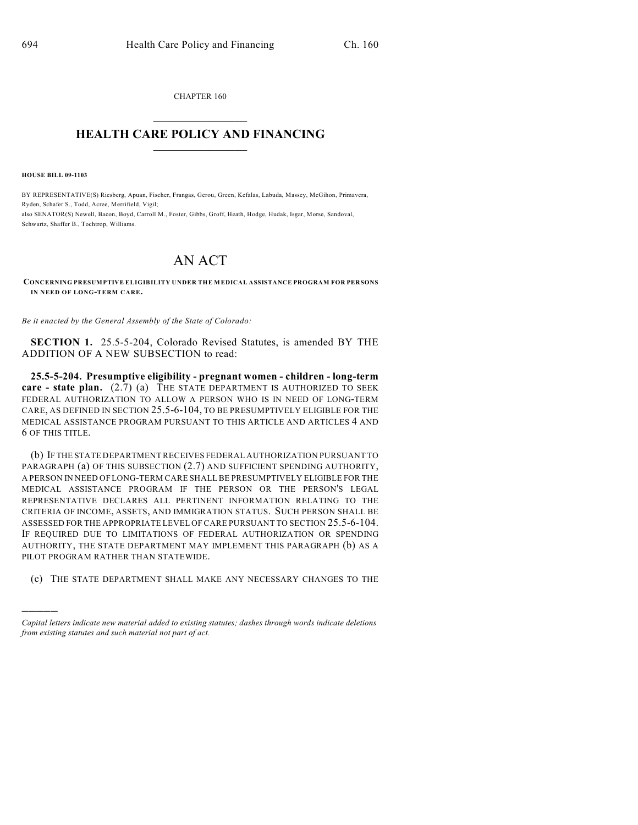CHAPTER 160  $\mathcal{L}_\text{max}$  . The set of the set of the set of the set of the set of the set of the set of the set of the set of the set of the set of the set of the set of the set of the set of the set of the set of the set of the set

## **HEALTH CARE POLICY AND FINANCING**  $\_$   $\_$   $\_$   $\_$   $\_$   $\_$   $\_$   $\_$

**HOUSE BILL 09-1103**

)))))

BY REPRESENTATIVE(S) Riesberg, Apuan, Fischer, Frangas, Gerou, Green, Kefalas, Labuda, Massey, McGihon, Primavera, Ryden, Schafer S., Todd, Acree, Merrifield, Vigil; also SENATOR(S) Newell, Bacon, Boyd, Carroll M., Foster, Gibbs, Groff, Heath, Hodge, Hudak, Isgar, Morse, Sandoval, Schwartz, Shaffer B., Tochtrop, Williams.

## AN ACT

**CONCERNING PRESUMPTIVE ELIGIBILITY UNDER THE MEDICAL ASSISTANCE PROGRAM FOR PERSONS IN NEED OF LONG-TERM CARE.**

*Be it enacted by the General Assembly of the State of Colorado:*

**SECTION 1.** 25.5-5-204, Colorado Revised Statutes, is amended BY THE ADDITION OF A NEW SUBSECTION to read:

**25.5-5-204. Presumptive eligibility - pregnant women - children - long-term care - state plan.** (2.7) (a) THE STATE DEPARTMENT IS AUTHORIZED TO SEEK FEDERAL AUTHORIZATION TO ALLOW A PERSON WHO IS IN NEED OF LONG-TERM CARE, AS DEFINED IN SECTION 25.5-6-104, TO BE PRESUMPTIVELY ELIGIBLE FOR THE MEDICAL ASSISTANCE PROGRAM PURSUANT TO THIS ARTICLE AND ARTICLES 4 AND 6 OF THIS TITLE.

(b) IF THE STATE DEPARTMENT RECEIVES FEDERAL AUTHORIZATION PURSUANT TO PARAGRAPH (a) OF THIS SUBSECTION (2.7) AND SUFFICIENT SPENDING AUTHORITY, A PERSON IN NEED OF LONG-TERM CARE SHALL BE PRESUMPTIVELY ELIGIBLE FOR THE MEDICAL ASSISTANCE PROGRAM IF THE PERSON OR THE PERSON'S LEGAL REPRESENTATIVE DECLARES ALL PERTINENT INFORMATION RELATING TO THE CRITERIA OF INCOME, ASSETS, AND IMMIGRATION STATUS. SUCH PERSON SHALL BE ASSESSED FOR THE APPROPRIATE LEVEL OF CARE PURSUANT TO SECTION 25.5-6-104. IF REQUIRED DUE TO LIMITATIONS OF FEDERAL AUTHORIZATION OR SPENDING AUTHORITY, THE STATE DEPARTMENT MAY IMPLEMENT THIS PARAGRAPH (b) AS A PILOT PROGRAM RATHER THAN STATEWIDE.

(c) THE STATE DEPARTMENT SHALL MAKE ANY NECESSARY CHANGES TO THE

*Capital letters indicate new material added to existing statutes; dashes through words indicate deletions from existing statutes and such material not part of act.*